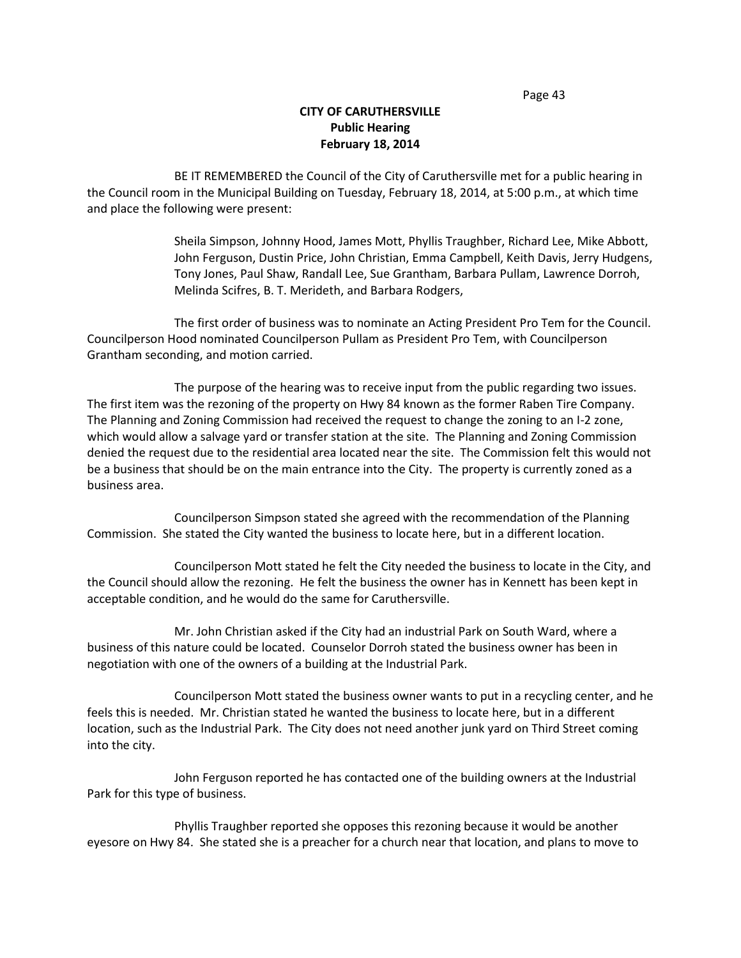# **CITY OF CARUTHERSVILLE Public Hearing February 18, 2014**

BE IT REMEMBERED the Council of the City of Caruthersville met for a public hearing in the Council room in the Municipal Building on Tuesday, February 18, 2014, at 5:00 p.m., at which time and place the following were present:

> Sheila Simpson, Johnny Hood, James Mott, Phyllis Traughber, Richard Lee, Mike Abbott, John Ferguson, Dustin Price, John Christian, Emma Campbell, Keith Davis, Jerry Hudgens, Tony Jones, Paul Shaw, Randall Lee, Sue Grantham, Barbara Pullam, Lawrence Dorroh, Melinda Scifres, B. T. Merideth, and Barbara Rodgers,

The first order of business was to nominate an Acting President Pro Tem for the Council. Councilperson Hood nominated Councilperson Pullam as President Pro Tem, with Councilperson Grantham seconding, and motion carried.

The purpose of the hearing was to receive input from the public regarding two issues. The first item was the rezoning of the property on Hwy 84 known as the former Raben Tire Company. The Planning and Zoning Commission had received the request to change the zoning to an I-2 zone, which would allow a salvage yard or transfer station at the site. The Planning and Zoning Commission denied the request due to the residential area located near the site. The Commission felt this would not be a business that should be on the main entrance into the City. The property is currently zoned as a business area.

Councilperson Simpson stated she agreed with the recommendation of the Planning Commission. She stated the City wanted the business to locate here, but in a different location.

Councilperson Mott stated he felt the City needed the business to locate in the City, and the Council should allow the rezoning. He felt the business the owner has in Kennett has been kept in acceptable condition, and he would do the same for Caruthersville.

Mr. John Christian asked if the City had an industrial Park on South Ward, where a business of this nature could be located. Counselor Dorroh stated the business owner has been in negotiation with one of the owners of a building at the Industrial Park.

Councilperson Mott stated the business owner wants to put in a recycling center, and he feels this is needed. Mr. Christian stated he wanted the business to locate here, but in a different location, such as the Industrial Park. The City does not need another junk yard on Third Street coming into the city.

John Ferguson reported he has contacted one of the building owners at the Industrial Park for this type of business.

Phyllis Traughber reported she opposes this rezoning because it would be another eyesore on Hwy 84. She stated she is a preacher for a church near that location, and plans to move to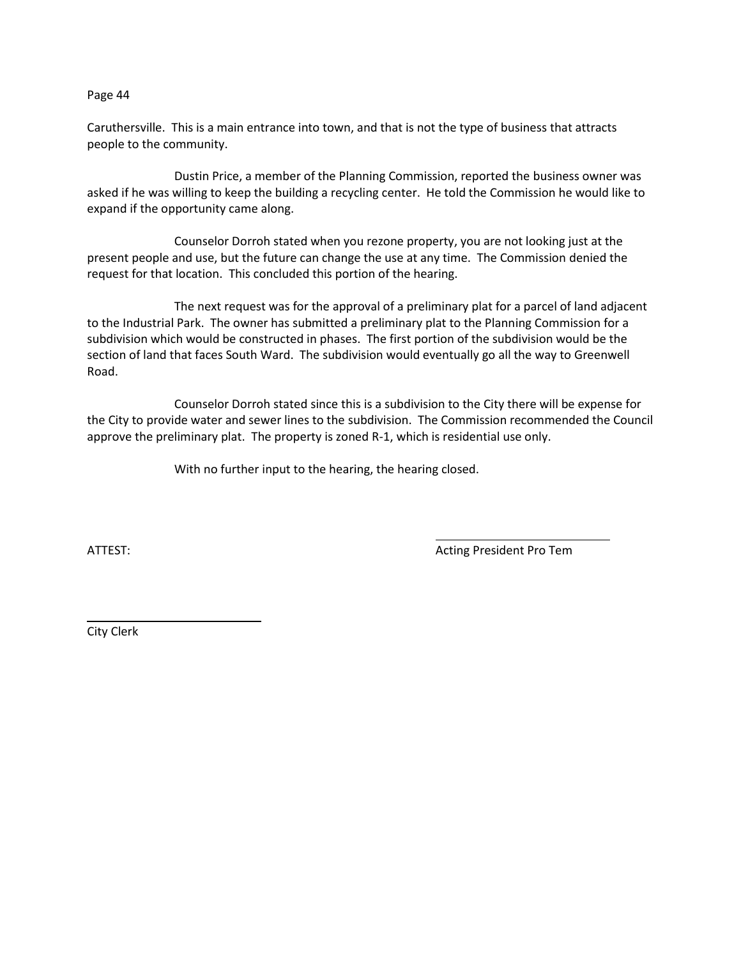Caruthersville. This is a main entrance into town, and that is not the type of business that attracts people to the community.

Dustin Price, a member of the Planning Commission, reported the business owner was asked if he was willing to keep the building a recycling center. He told the Commission he would like to expand if the opportunity came along.

Counselor Dorroh stated when you rezone property, you are not looking just at the present people and use, but the future can change the use at any time. The Commission denied the request for that location. This concluded this portion of the hearing.

The next request was for the approval of a preliminary plat for a parcel of land adjacent to the Industrial Park. The owner has submitted a preliminary plat to the Planning Commission for a subdivision which would be constructed in phases. The first portion of the subdivision would be the section of land that faces South Ward. The subdivision would eventually go all the way to Greenwell Road.

Counselor Dorroh stated since this is a subdivision to the City there will be expense for the City to provide water and sewer lines to the subdivision. The Commission recommended the Council approve the preliminary plat. The property is zoned R-1, which is residential use only.

With no further input to the hearing, the hearing closed.

ATTEST: AND A LOCAL TRIMATE A LOCAL TRIMATE AND ACTING PRESIdent Pro Tem

City Clerk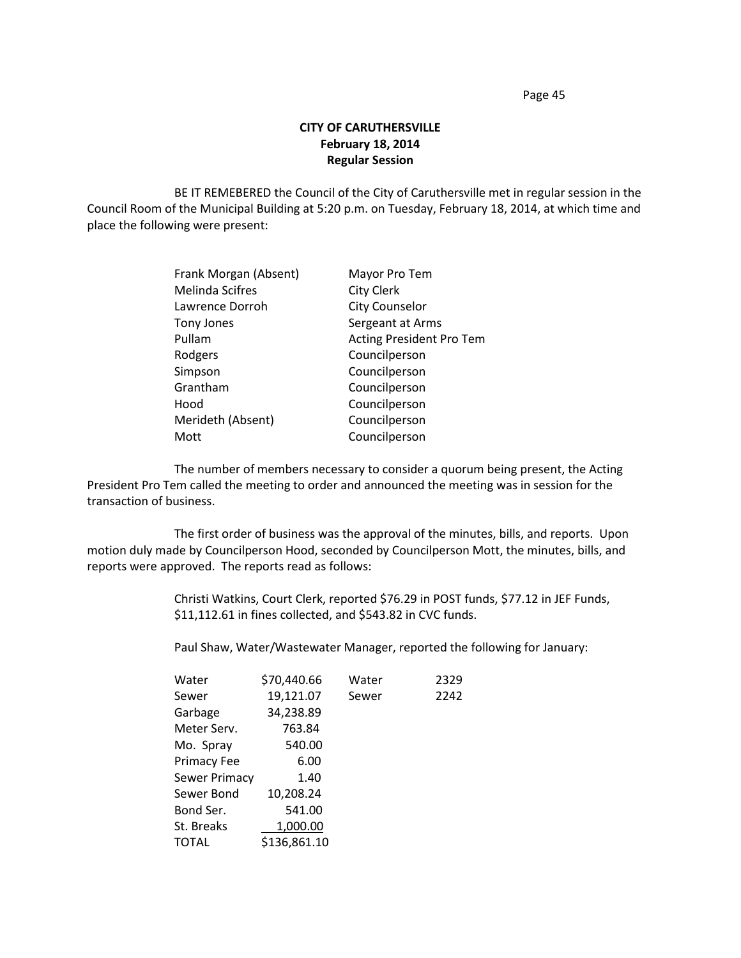# **CITY OF CARUTHERSVILLE February 18, 2014 Regular Session**

BE IT REMEBERED the Council of the City of Caruthersville met in regular session in the Council Room of the Municipal Building at 5:20 p.m. on Tuesday, February 18, 2014, at which time and place the following were present:

| Frank Morgan (Absent) | Mayor Pro Tem                   |  |
|-----------------------|---------------------------------|--|
| Melinda Scifres       | City Clerk                      |  |
| Lawrence Dorroh       | <b>City Counselor</b>           |  |
| Tony Jones            | Sergeant at Arms                |  |
| Pullam                | <b>Acting President Pro Tem</b> |  |
| Rodgers               | Councilperson                   |  |
| Simpson               | Councilperson                   |  |
| Grantham              | Councilperson                   |  |
| Hood                  | Councilperson                   |  |
| Merideth (Absent)     | Councilperson                   |  |
| Mott                  | Councilperson                   |  |
|                       |                                 |  |

The number of members necessary to consider a quorum being present, the Acting President Pro Tem called the meeting to order and announced the meeting was in session for the transaction of business.

The first order of business was the approval of the minutes, bills, and reports. Upon motion duly made by Councilperson Hood, seconded by Councilperson Mott, the minutes, bills, and reports were approved. The reports read as follows:

> Christi Watkins, Court Clerk, reported \$76.29 in POST funds, \$77.12 in JEF Funds, \$11,112.61 in fines collected, and \$543.82 in CVC funds.

Paul Shaw, Water/Wastewater Manager, reported the following for January:

| Water         | \$70,440.66  | Water | 2329 |
|---------------|--------------|-------|------|
| Sewer         | 19,121.07    | Sewer | 2242 |
| Garbage       | 34,238.89    |       |      |
| Meter Serv.   | 763.84       |       |      |
| Mo. Spray     | 540.00       |       |      |
| Primacy Fee   | 6.00         |       |      |
| Sewer Primacy | 1.40         |       |      |
| Sewer Bond    | 10,208.24    |       |      |
| Bond Ser.     | 541.00       |       |      |
| St. Breaks    | 1,000.00     |       |      |
| TOTAL         | \$136,861.10 |       |      |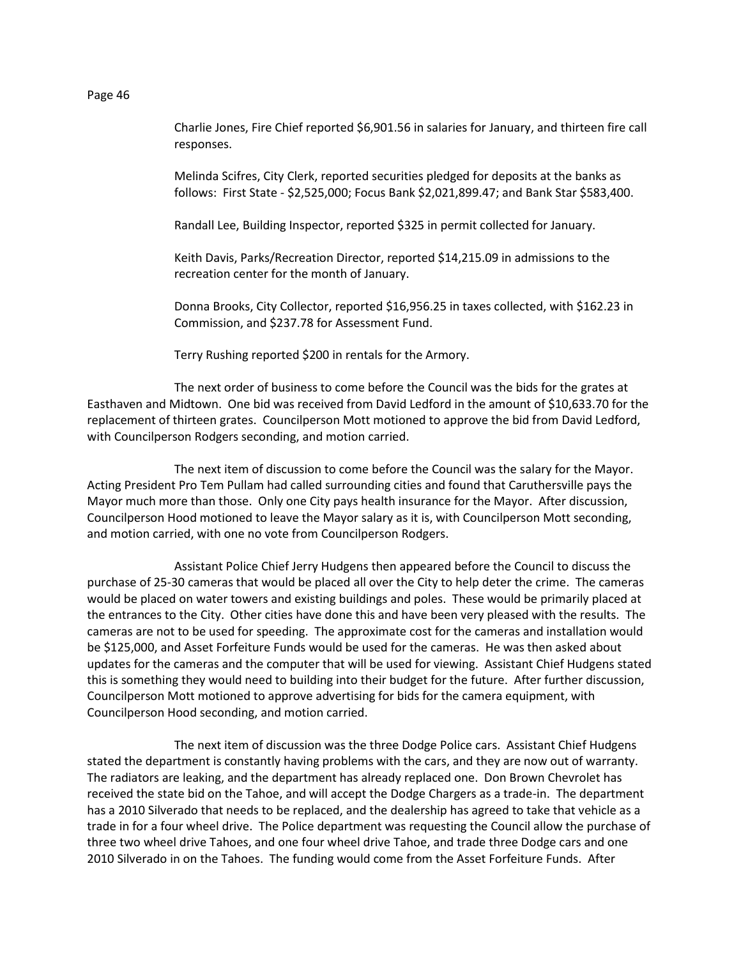Charlie Jones, Fire Chief reported \$6,901.56 in salaries for January, and thirteen fire call responses.

Melinda Scifres, City Clerk, reported securities pledged for deposits at the banks as follows: First State - \$2,525,000; Focus Bank \$2,021,899.47; and Bank Star \$583,400.

Randall Lee, Building Inspector, reported \$325 in permit collected for January.

Keith Davis, Parks/Recreation Director, reported \$14,215.09 in admissions to the recreation center for the month of January.

Donna Brooks, City Collector, reported \$16,956.25 in taxes collected, with \$162.23 in Commission, and \$237.78 for Assessment Fund.

Terry Rushing reported \$200 in rentals for the Armory.

The next order of business to come before the Council was the bids for the grates at Easthaven and Midtown. One bid was received from David Ledford in the amount of \$10,633.70 for the replacement of thirteen grates. Councilperson Mott motioned to approve the bid from David Ledford, with Councilperson Rodgers seconding, and motion carried.

The next item of discussion to come before the Council was the salary for the Mayor. Acting President Pro Tem Pullam had called surrounding cities and found that Caruthersville pays the Mayor much more than those. Only one City pays health insurance for the Mayor. After discussion, Councilperson Hood motioned to leave the Mayor salary as it is, with Councilperson Mott seconding, and motion carried, with one no vote from Councilperson Rodgers.

Assistant Police Chief Jerry Hudgens then appeared before the Council to discuss the purchase of 25-30 cameras that would be placed all over the City to help deter the crime. The cameras would be placed on water towers and existing buildings and poles. These would be primarily placed at the entrances to the City. Other cities have done this and have been very pleased with the results. The cameras are not to be used for speeding. The approximate cost for the cameras and installation would be \$125,000, and Asset Forfeiture Funds would be used for the cameras. He was then asked about updates for the cameras and the computer that will be used for viewing. Assistant Chief Hudgens stated this is something they would need to building into their budget for the future. After further discussion, Councilperson Mott motioned to approve advertising for bids for the camera equipment, with Councilperson Hood seconding, and motion carried.

The next item of discussion was the three Dodge Police cars. Assistant Chief Hudgens stated the department is constantly having problems with the cars, and they are now out of warranty. The radiators are leaking, and the department has already replaced one. Don Brown Chevrolet has received the state bid on the Tahoe, and will accept the Dodge Chargers as a trade-in. The department has a 2010 Silverado that needs to be replaced, and the dealership has agreed to take that vehicle as a trade in for a four wheel drive. The Police department was requesting the Council allow the purchase of three two wheel drive Tahoes, and one four wheel drive Tahoe, and trade three Dodge cars and one 2010 Silverado in on the Tahoes. The funding would come from the Asset Forfeiture Funds. After

Page 46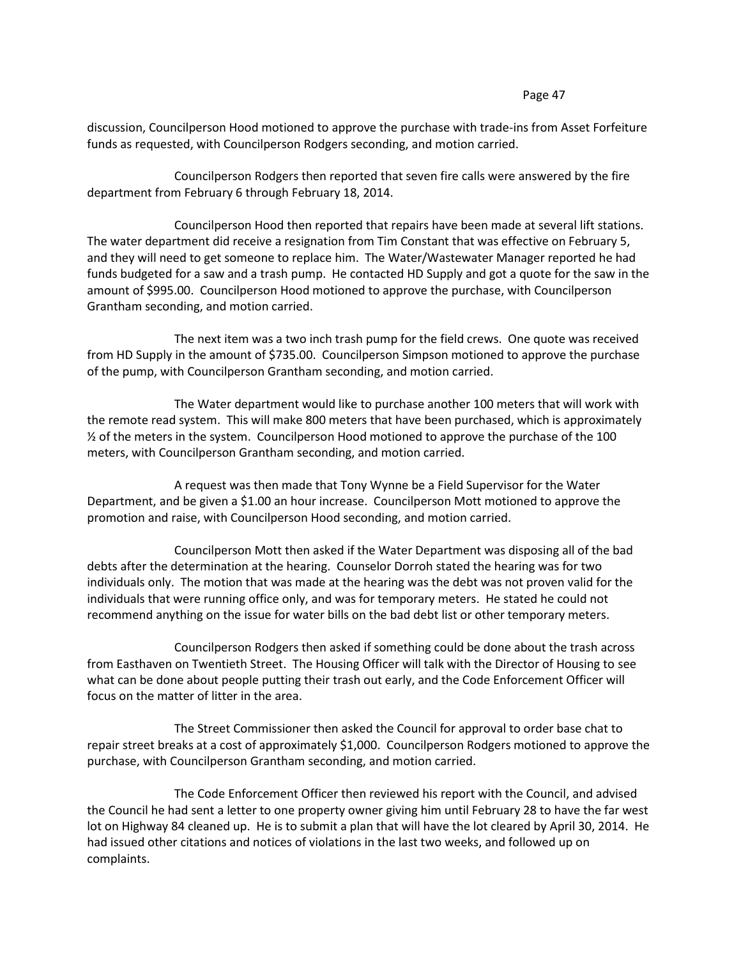discussion, Councilperson Hood motioned to approve the purchase with trade-ins from Asset Forfeiture funds as requested, with Councilperson Rodgers seconding, and motion carried.

Councilperson Rodgers then reported that seven fire calls were answered by the fire department from February 6 through February 18, 2014.

Councilperson Hood then reported that repairs have been made at several lift stations. The water department did receive a resignation from Tim Constant that was effective on February 5, and they will need to get someone to replace him. The Water/Wastewater Manager reported he had funds budgeted for a saw and a trash pump. He contacted HD Supply and got a quote for the saw in the amount of \$995.00. Councilperson Hood motioned to approve the purchase, with Councilperson Grantham seconding, and motion carried.

The next item was a two inch trash pump for the field crews. One quote was received from HD Supply in the amount of \$735.00. Councilperson Simpson motioned to approve the purchase of the pump, with Councilperson Grantham seconding, and motion carried.

The Water department would like to purchase another 100 meters that will work with the remote read system. This will make 800 meters that have been purchased, which is approximately  $\frac{1}{2}$  of the meters in the system. Councilperson Hood motioned to approve the purchase of the 100 meters, with Councilperson Grantham seconding, and motion carried.

A request was then made that Tony Wynne be a Field Supervisor for the Water Department, and be given a \$1.00 an hour increase. Councilperson Mott motioned to approve the promotion and raise, with Councilperson Hood seconding, and motion carried.

Councilperson Mott then asked if the Water Department was disposing all of the bad debts after the determination at the hearing. Counselor Dorroh stated the hearing was for two individuals only. The motion that was made at the hearing was the debt was not proven valid for the individuals that were running office only, and was for temporary meters. He stated he could not recommend anything on the issue for water bills on the bad debt list or other temporary meters.

Councilperson Rodgers then asked if something could be done about the trash across from Easthaven on Twentieth Street. The Housing Officer will talk with the Director of Housing to see what can be done about people putting their trash out early, and the Code Enforcement Officer will focus on the matter of litter in the area.

The Street Commissioner then asked the Council for approval to order base chat to repair street breaks at a cost of approximately \$1,000. Councilperson Rodgers motioned to approve the purchase, with Councilperson Grantham seconding, and motion carried.

The Code Enforcement Officer then reviewed his report with the Council, and advised the Council he had sent a letter to one property owner giving him until February 28 to have the far west lot on Highway 84 cleaned up. He is to submit a plan that will have the lot cleared by April 30, 2014. He had issued other citations and notices of violations in the last two weeks, and followed up on complaints.